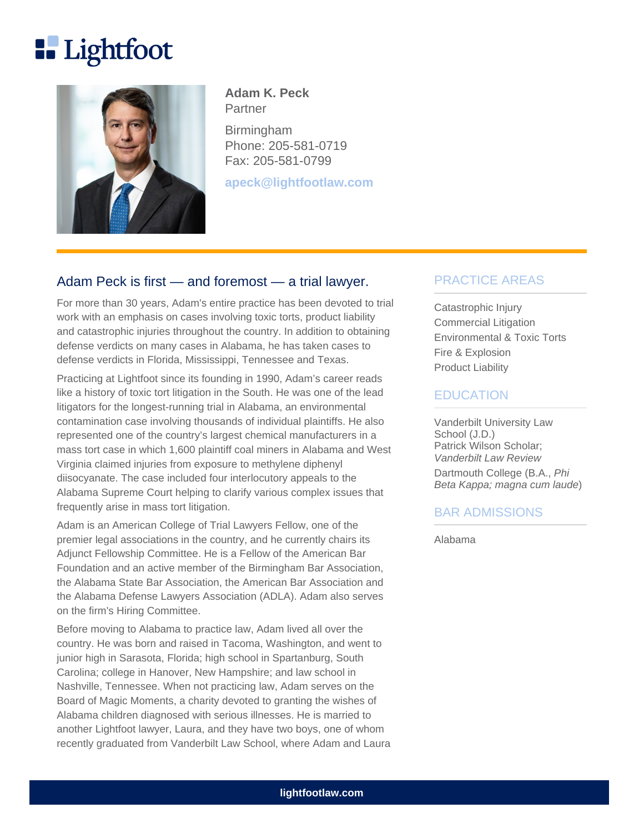# **Lightfoot**



**Adam K. Peck Partner** 

Birmingham Phone: 205-581-0719 Fax: 205-581-0799

**apeck@lightfootlaw.com**

# Adam Peck is first — and foremost — a trial lawyer.

For more than 30 years, Adam's entire practice has been devoted to trial work with an emphasis on cases involving toxic torts, product liability and catastrophic injuries throughout the country. In addition to obtaining defense verdicts on many cases in Alabama, he has taken cases to defense verdicts in Florida, Mississippi, Tennessee and Texas.

Practicing at Lightfoot since its founding in 1990, Adam's career reads like a history of toxic tort litigation in the South. He was one of the lead litigators for the longest-running trial in Alabama, an environmental contamination case involving thousands of individual plaintiffs. He also represented one of the country's largest chemical manufacturers in a mass tort case in which 1,600 plaintiff coal miners in Alabama and West Virginia claimed injuries from exposure to methylene diphenyl diisocyanate. The case included four interlocutory appeals to the Alabama Supreme Court helping to clarify various complex issues that frequently arise in mass tort litigation.

Adam is an American College of Trial Lawyers Fellow, one of the premier legal associations in the country, and he currently chairs its Adjunct Fellowship Committee. He is a Fellow of the American Bar Foundation and an active member of the Birmingham Bar Association, the Alabama State Bar Association, the American Bar Association and the Alabama Defense Lawyers Association (ADLA). Adam also serves on the firm's Hiring Committee.

Before moving to Alabama to practice law, Adam lived all over the country. He was born and raised in Tacoma, Washington, and went to junior high in Sarasota, Florida; high school in Spartanburg, South Carolina; college in Hanover, New Hampshire; and law school in Nashville, Tennessee. When not practicing law, Adam serves on the Board of Magic Moments, a charity devoted to granting the wishes of Alabama children diagnosed with serious illnesses. He is married to another Lightfoot lawyer, Laura, and they have two boys, one of whom recently graduated from Vanderbilt Law School, where Adam and Laura

# PRACTICE AREAS

Catastrophic Injury Commercial Litigation Environmental & Toxic Torts Fire & Explosion Product Liability

#### **EDUCATION**

Vanderbilt University Law School (J.D.) Patrick Wilson Scholar; Vanderbilt Law Review Dartmouth College (B.A., Phi Beta Kappa; magna cum laude)

#### BAR ADMISSIONS

Alabama